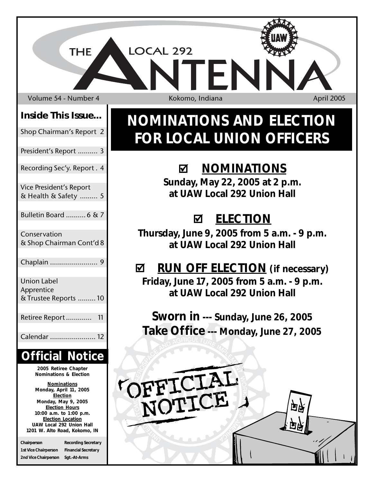Volume 54 - Number 4 Kokomo, Indiana April 2005

**THE** 

### **Inside This Issue...**

| Shop Chairman's Report 2 |  |  |
|--------------------------|--|--|

- President's Report .......... 3
- Recording Sec'y. Report . 4
- Vice President's Report & Health & Safety ......... 5
- Bulletin Board .......... 6 & 7
- Conservation & Shop Chairman Cont'd8
- Chaplain ........................ 9 Union Label Apprentice
- Retiree Report............. 11

& Trustee Reports .........10

Calendar ....................... 12

### **Official Notice**

**2005 Retiree Chapter Nominations & Election**

**Nominations Monday, April 11, 2005 Election Monday, May 9, 2005 Election Hours 10:00 a.m. to 1:00 p.m. Election Location UAW Local 292 Union Hall 1201 W. Alto Road, Kokomo, IN**

**Chairperson Recording Secretary 1st Vice Chairperson Financial Secretary 2nd Vice Chairperson Sgt.-At-Arms**

LOCAL 292

# **NOMINATIONS AND ELECTION FOR LOCAL UNION OFFICERS**

## ; **NOMINATIONS**

**Sunday, May 22, 2005 at 2 p.m. at UAW Local 292 Union Hall**

# ; **ELECTION**

**Thursday, June 9, 2005 from 5 a.m. - 9 p.m. at UAW Local 292 Union Hall**

# ; **RUN OFF ELECTION (if necessary)**

**Friday, June 17, 2005 from 5 a.m. - 9 p.m. at UAW Local 292 Union Hall**

**Sworn in --- Sunday, June 26, 2005 Take Office --- Monday, June 27, 2005**

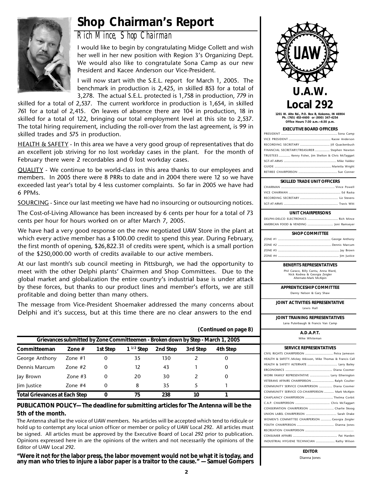### **Shop Chairman's Report**



### *Rich Mince, Shop Chairman*

I would like to begin by congratulating Midge Collett and wish her well in her new position with Region 3's Organizing Dept. We would also like to congratulate Sona Camp as our new President and Kacee Anderson our Vice-President.

I will now start with the S.E.L. report for March 1, 2005. The benchmark in production is 2,425, in skilled 853 for a total of 3,278. The actual S.E.L. protected is 1,758 in production, 779 in

skilled for a total of 2,537. The current workforce in production is 1,654, in skilled 761 for a total of 2,415. On leaves of absence there are 104 in production, 18 in skilled for a total of 122, bringing our total employment level at this site to 2,537. The total hiring requirement, including the roll-over from the last agreement, is 99 in skilled trades and 575 in production.

HEALTH & SAFETY - In this area we have a very good group of representatives that do an excellent job striving for no lost workday cases in the plant. For the month of February there were 2 recordables and 0 lost workday cases.

QUALITY - We continue to be world-class in this area thanks to our employees and members. In 2005 there were 8 PRRs to date and in 2004 there were 12 so we have exceeded last year's total by 4 less customer complaints. So far in 2005 we have had 6 PPMs.

SOURCING - Since our last meeting we have had no insourcing or outsourcing notices.

The Cost-of-Living Allowance has been increased by 6 cents per hour for a total of 73 cents per hour for hours worked on or after March 7, 2005.

We have had a very good response on the new negotiated UAW Store in the plant at which every active member has a \$100.00 credit to spend this year. During February, the first month of opening, \$26,822.31 of credits were spent, which is a small portion of the \$250,000.00 worth of credits available to our active members.

At our last month's sub council meeting in Pittsburgh, we had the opportunity to meet with the other Delphi plants' Chairmen and Shop Committees. Due to the global market and globalization the entire country's industrial base is under attack by these forces, but thanks to our product lines and member's efforts, we are still profitable and doing better than many others.

The message from Vice-President Shoemaker addressed the many concerns about Delphi and it's success, but at this time there are no clear answers to the end

|                                      | Grievances submitted by Zone Committeemen - Broken down by Step - March 1, 2005 |          |                |          |          |          |  |
|--------------------------------------|---------------------------------------------------------------------------------|----------|----------------|----------|----------|----------|--|
| Committeeman                         | Zone $#$                                                                        | 1st Step | $1^{1/2}$ Step | 2nd Step | 3rd Step | 4th Step |  |
| George Anthony                       | Zone $#1$                                                                       | 0        | 35             | 130      |          | 0        |  |
| Dennis Marcum                        | Zone $#2$                                                                       | 0        | 12             | 43       |          | $\Omega$ |  |
| Jay Brown                            | Zone $#3$                                                                       | 0        | 20             | 30       |          | $\Omega$ |  |
| lim Justice                          | Zone $#4$                                                                       | 0        | 8              | 35       |          |          |  |
| <b>Total Grievances at Each Step</b> |                                                                                 | O        | 75             | 238      | 10       |          |  |

#### **PUBLICATION POLICY— The deadline for submitting articles for The Antenna will be the 5th of the month.**

The Antenna shall be the voice of UAW members. No articles will be accepted which tend to ridicule or hold up to contempt any local union officer or member or policy of UAW Local 292. All articles must be signed. All articles must be approved by the Executive Board of Local 292 prior to publication. Opinions expressed here in are the opinions of the writers and not necessarily the opinions of the Editor of UAW Local 292.

**"Were it not for the labor press, the labor movement would not be what it is today, and any man who tries to injure a labor paper is a traitor to the cause." — Samuel Gompers**



**1201 W. Alto Rd., P.O. Box B, Kokomo, IN 46904 Ph. (765) 453-4600 or (800) 347-4254 Office Hours 7:30 a.m.—4:30 p.m.**

| <b>EXECUTIVE BOARD OFFICERS</b>                       |  |  |  |
|-------------------------------------------------------|--|--|--|
|                                                       |  |  |  |
|                                                       |  |  |  |
|                                                       |  |  |  |
| FINANCIAL SECRETARY/TREASURER  Stephen Newton         |  |  |  |
| TRUSTEES  Kenny Fisher, Jim Shelton & Chris McTaggart |  |  |  |
| SCT-AT-ARMS Mike Valdez                               |  |  |  |

| CVILLED TRADE LINIT OFFICEDS |  |
|------------------------------|--|
|                              |  |
|                              |  |

| <b>SNILLLD INADE UNIT OFFICERS</b> |  |  |
|------------------------------------|--|--|
|                                    |  |  |
|                                    |  |  |
|                                    |  |  |
|                                    |  |  |

#### **UNIT CHAIRPERSONS**

| <b>SHOP COMMITTEE</b> |  |
|-----------------------|--|
|                       |  |
|                       |  |

**BENEFITS REPRESENTATIVES**

Phil Caraco, Billy Cantu, Anna Ward, Nick Kodrea & Georgia Zeigler Alternate-Mark McAlpin

**APPRENTICESHIP COMMITTEE**

Danny Nelson & Gary Shaw

**JOINT ACTIVITIES REPRESENTATIVE** Lewis Hall

**JOINT TRAINING REPRESENTATIVES**

Lana Puterbaugh & Francis Van Camp

```
A.D.A.P.T.
Mike Whiteman
```

| <b>SERVICE REPRESENTATIVES</b>                             |
|------------------------------------------------------------|
|                                                            |
| HEALTH & SAFETYMickey Atkisson, Mike Thomas & Francis Call |
|                                                            |
|                                                            |
| WORK FAMILY REPRESENTATIVE  Larry Etherington              |
| VETERANS AFFAIRS CHAIRPERSON  Ralph Coulter                |
| COMMUNITY SERVICE CHAIRPERSON  Diana Coomer                |
| COMMUNITY SERVICE CO-CHAIRPERSON  Mark McAlpin             |
| CHAPLAINCY CHAIRPERSON  Thelma Corbit                      |
|                                                            |
| CONSERVATION CHAIRPERSON  Charlie Skoog                    |
|                                                            |
| WOMEN'S COMMITTEE CHAIRPERSON  Georgia Zeigler             |
|                                                            |
|                                                            |
|                                                            |
| INDUSTRIAL HYGIENE TECHNICIAN  Kathy Wilson                |
|                                                            |

**EDITOR** Dianna Jones

**(Continued on page 8)**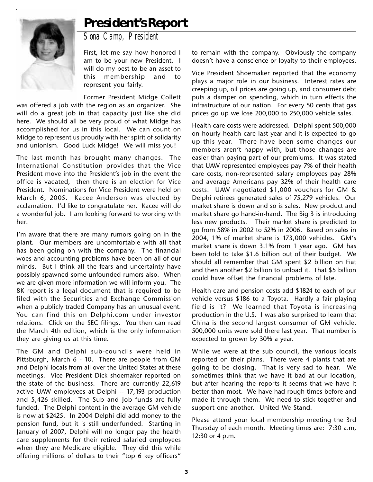### **President's Report**



*Sona Camp, President*

First, let me say how honored I am to be your new President. I will do my best to be an asset to this membership and to represent you fairly.

Former President Midge Collett was offered a job with the region as an organizer. She will do a great job in that capacity just like she did here. We should all be very proud of what Midge has accomplished for us in this local. We can count on Midge to represent us proudly with her spirit of solidarity and unionism. Good Luck Midge! We will miss you!

The last month has brought many changes. The International Constitution provides that the Vice President move into the President's job in the event the office is vacated, then there is an election for Vice President. Nominations for Vice President were held on March 6, 2005. Kacee Anderson was elected by acclamation. I'd like to congratulate her. Kacee will do a wonderful job. I am looking forward to working with her.

I'm aware that there are many rumors going on in the plant. Our members are uncomfortable with all that has been going on with the company. The financial woes and accounting problems have been on all of our minds. But I think all the fears and uncertainty have possibly spawned some unfounded rumors also. When we are given more information we will inform you. The 8K report is a legal document that is required to be filed with the Securities and Exchange Commission when a publicly traded Company has an unusual event. You can find this on Delphi.com under investor relations. Click on the SEC filings. You then can read the March 4th edition, which is the only information they are giving us at this time.

The GM and Delphi sub-councils were held in Pittsburgh, March 6 - 10. There are people from GM and Delphi locals from all over the United States at these meetings. Vice President Dick shoemaker reported on the state of the business. There are currently 22,619 active UAW employees at Delphi -- 17,193 production and 5,426 skilled. The Sub and Job funds are fully funded. The Delphi content in the average GM vehicle is now at \$2425. In 2004 Delphi did add money to the pension fund, but it is still underfunded. Starting in January of 2007, Delphi will no longer pay the health care supplements for their retired salaried employees when they are Medicare eligible. They did this while offering millions of dollars to their "top 6 key officers"

to remain with the company. Obviously the company doesn't have a conscience or loyalty to their employees.

Vice President Shoemaker reported that the economy plays a major role in our business. Interest rates are creeping up, oil prices are going up, and consumer debt puts a damper on spending, which in turn effects the infrastructure of our nation. For every 50 cents that gas prices go up we lose 200,000 to 250,000 vehicle sales.

Health care costs were addressed. Delphi spent 500,000 on hourly health care last year and it is expected to go up this year. There have been some changes our members aren't happy with, but those changes are easier than paying part of our premiums. It was stated that UAW represented employees pay 7% of their health care costs, non-represented salary employees pay 28% and average Americans pay 32% of their health care costs. UAW negotiated \$1,000 vouchers for GM & Delphi retirees generated sales of 75,279 vehicles. Our market share is down and so is sales. New product and market share go hand-in-hand. The Big 3 is introducing less new products. Their market share is predicted to go from 58% in 2002 to 52% in 2006. Based on sales in 2004, 1% of market share is 173,000 vehicles. GM's market share is down 3.1% from 1 year ago. GM has been told to take \$1.6 billion out of their budget. We should all remember that GM spent \$2 billion on Fiat and then another \$2 billion to unload it. That \$5 billion could have offset the financial problems of late.

Health care and pension costs add \$1824 to each of our vehicle versus \$186 to a Toyota. Hardly a fair playing field is it? We learned that Toyota is increasing production in the U.S. I was also surprised to learn that China is the second largest consumer of GM vehicle. 500,000 units were sold there last year. That number is expected to grown by 30% a year.

While we were at the sub council, the various locals reported on their plans. There were 4 plants that are going to be closing. That is very sad to hear. We sometimes think that we have it bad at our location, but after hearing the reports it seems that we have it better than most. We have had rough times before and made it through them. We need to stick together and support one another. United We Stand.

Please attend your local membership meeting the 3rd Thursday of each month. Meeting times are: 7:30 a.m, 12:30 or 4 p.m.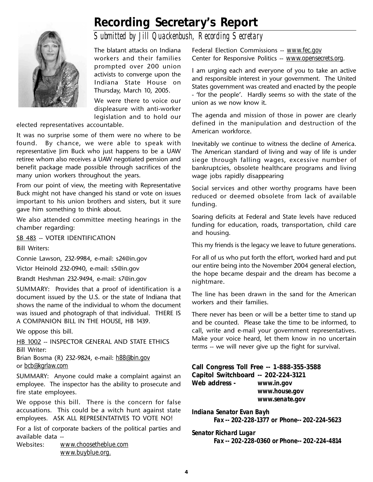### **Recording Secretary's Report**



*Submitted by Jill Quackenbush, Recording Secretary*

The blatant attacks on Indiana workers and their families prompted over 200 union activists to converge upon the Indiana State House on Thursday, March 10, 2005.

We were there to voice our displeasure with anti-worker legislation and to hold our

elected representatives accountable.

It was no surprise some of them were no where to be found. By chance, we were able to speak with representative Jim Buck who just happens to be a UAW retiree whom also receives a UAW negotiated pension and benefit package made possible through sacrifices of the many union workers throughout the years.

From our point of view, the meeting with Representative Buck might not have changed his stand or vote on issues important to his union brothers and sisters, but it sure gave him something to think about.

We also attended committee meeting hearings in the chamber regarding:

SB 483 -- VOTER IDENTIFICATION

Bill Writers:

Connie Lawson, 232-9984, e-mail: s24@in.gov

Victor Heinold 232-0940, e-mail: s5@in.gov

Brandt Heshman 232-9494, e-mail: s7@in.gov

SUMMARY: Provides that a proof of identification is a document issued by the U.S. or the state of Indiana that shows the name of the individual to whom the document was issued and photograph of that individual. THERE IS A COMPANION BILL IN THE HOUSE, HB 1439.

We oppose this bill.

HB 1002 -- INSPECTOR GENERAL AND STATE ETHICS Bill Writer:

Brian Bosma (R) 232-9824, e-mail: *h88@bin.gov* or *bcb@kgrlaw.com*

SUMMARY: Anyone could make a complaint against an employee. The inspector has the ability to prosecute and fire state employees.

We oppose this bill. There is the concern for false accusations. This could be a witch hunt against state employees. ASK ALL REPRESENTATIVES TO VOTE NO!

For a list of corporate backers of the political parties and available data --

Websites: *www.choosetheblue.com www.buyblue.org.*

Federal Election Commissions -- *www.fec.gov* Center for Responsive Politics -- *www.opensecrets.org*.

I am urging each and everyone of you to take an active and responsible interest in your government. The United States government was created and enacted by the people - 'for the people'. Hardly seems so with the state of the union as we now know it.

The agenda and mission of those in power are clearly defined in the manipulation and destruction of the American workforce.

Inevitably we continue to witness the decline of America. The American standard of living and way of life is under siege through falling wages, excessive number of bankruptcies, obsolete healthcare programs and living wage jobs rapidly disappearing

Social services and other worthy programs have been reduced or deemed obsolete from lack of available funding.

Soaring deficits at Federal and State levels have reduced funding for education, roads, transportation, child care and housing.

This my friends is the legacy we leave to future generations.

For all of us who put forth the effort, worked hard and put our entire being into the November 2004 general election, the hope became despair and the dream has become a nightmare.

The line has been drawn in the sand for the American workers and their families.

There never has been or will be a better time to stand up and be counted. Please take the time to be informed, to call, write and e-mail your government representatives. Make your voice heard, let them know in no uncertain terms -- we will never give up the fight for survival.

**Call Congress Toll Free -- 1-888-355-3588 Capitol Switchboard -- 202-224-3121 Web address -** *www.in.gov www.house.gov www.senate.gov*

*Indiana Senator Evan Bayh Fax -- 202-228-1377 or Phone-- 202-224-5623*

*Senator Richard Lugar Fax -- 202-228-0360 or Phone-- 202-224-4814*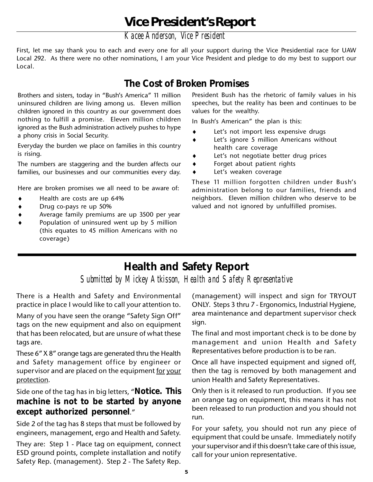*Kacee Anderson, Vice President*

First, let me say thank you to each and every one for all your support during the Vice Presidential race for UAW Local 292. As there were no other nominations, I am your Vice President and pledge to do my best to support our Local.

### **The Cost of Broken Promises**

Brothers and sisters, today in "Bush's America" 11 million uninsured children are living among us. Eleven million children ignored in this country as our government does nothing to fulfill a promise. Eleven million children ignored as the Bush administration actively pushes to hype a phony crisis in Social Security.

Everyday the burden we place on families in this country is rising.

The numbers are staggering and the burden affects our families, our businesses and our communities every day.

Here are broken promises we all need to be aware of:

- Health are costs are up 64%
- Drug co-pays re up 50%
- Average family premiums are up 3500 per year
- Population of uninsured went up by 5 million (this equates to 45 million Americans with no coverage)

President Bush has the rhetoric of family values in his speeches, but the reality has been and continues to be values for the wealthy.

In Bush's American" the plan is this:

- ♦ Let's not import less expensive drugs
- ♦ Let's ignore 5 million Americans without health care coverage
- ♦ Let's not negotiate better drug prices
- ♦ Forget about patient rights
- Let's weaken coverage

These 11 million forgotten children under Bush's administration belong to our families, friends and neighbors. Eleven million children who deserve to be valued and not ignored by unfulfilled promises.

### **Health and Safety Report**

*Submitted by Mickey Atkisson, Health and Safety Representative*

There is a Health and Safety and Environmental practice in place I would like to call your attention to.

Many of you have seen the orange "Safety Sign Off" tags on the new equipment and also on equipment that has been relocated, but are unsure of what these tags are.

These 6" X 8" orange tags are generated thru the Health and Safety management office by engineer or supervisor and are placed on the equipment for your protection.

Side one of the tag has in big letters, "**Notice. This machine is not to be started by anyone except authorized personnel**."

Side 2 of the tag has 8 steps that must be followed by engineers, management, ergo and Health and Safety.

They are: Step 1 - Place tag on equipment, connect ESD ground points, complete installation and notify Safety Rep. (management). Step 2 - The Safety Rep.

(management) will inspect and sign for TRYOUT ONLY. Steps 3 thru 7 - Ergonomics, Industrial Hygiene, area maintenance and department supervisor check sign.

The final and most important check is to be done by management and union Health and Safety Representatives before production is to be ran.

Once all have inspected equipment and signed off, then the tag is removed by both management and union Health and Safety Representatives.

Only then is it released to run production. If you see an orange tag on equipment, this means it has not been released to run production and you should not run.

For your safety, you should not run any piece of equipment that could be unsafe. Immediately notify your supervisor and if this doesn't take care of this issue, call for your union representative.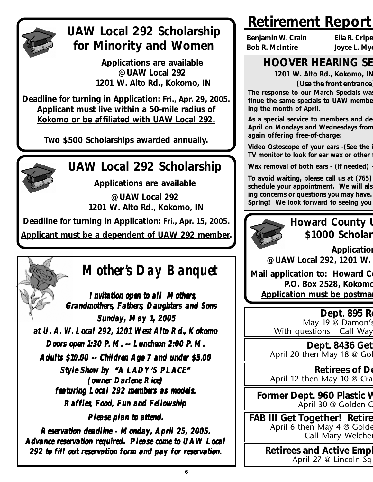

## **UAW Local 292 Scholarship for Minority and Women**

**Applications are available @ UAW Local 292 1201 W. Alto Rd., Kokomo, IN**

**Deadline for turning in Application: Fri., Apr. 29, 2005. Applicant must live within a 50-mile radius of Kokomo or be affiliated with UAW Local 292.**

**Two \$500 Scholarships awarded annually.**



## **UAW Local 292 Scholarship**

**Applications are available**

**@ UAW Local 292 1201 W. Alto Rd., Kokomo, IN**

**Deadline for turning in Application: Fri., Apr. 15, 2005.**

**Applicant must be a dependent of UAW 292 member.**

# **Mother's Day Banquet**

**Invitation open to all Mothers Grandmothers Grandmothers, Fathers, Daughters and Sons Sunday, May 1, 2005 at U. A. W. Local 292, 1201 West Alto Rd., Kokomo . Local 292, West Alto Rd., Kokomo Doors open 1:30 P. M. -- Luncheon 2:00 P. M. Adults \$10.00 -- Children Age 7 and under \$5.00 Style Show by "A LADY'S PLACE" (owner Darlene Rice) featuring Local 292 members as models Local 292 members as models. Raffles Raffles, Food, Fun and Fellowship Please plan to attend. e plan to attend. plan to** 

**Reservation deadline - Monday, April 25, 2005.** Advance reservation required. Please come to UAW Local 292 to fill out reservation form and pay for reservation.

# **Retirement Report:**

**Benjamin W. Crain Ella R. Cripe Bob R. McIntire Joyce L. Mye**

### **HOOVER HEARING SE**

**1201 W. Alto Rd., Kokomo, IN**

**(Use the front entrance)**

**The response to our March Specials was tinue the same specials to UAW membe ing the month of April.**

**As a special service to members and de April on Mondays and Wednesdays from again offering free-of-charge:**

**Video Ostoscope of your ears -(See the i TV monitor to look for ear wax or other f**

**Wax removal of both ears - (if needed) -**

**To avoid waiting, please call us at (765) schedule your appointment. We will als ing concerns or questions you may have. Spring! We look forward to seeing you** 

### **Howard County U \$1000 Scholar**

**Application @ UAW Local 292, 1201 W.** 

**Mail application to: Howard Co P.O. Box 2528, Kokomo Application must be postmarrow** 

### **Dept. 895 Re**

May 19 @ Damon's With questions - Call Way

**Dept. 8436 Get**  April 20 then May 18 @ Gol

**Retirees of De** April 12 then May 10 @ Cra

**Former Dept. 960 Plastic W** April 30 @ Golden C

**FAB III Get Together! Retire** April 6 then May 4 @ Golde Call Mary Welcher

> **Retirees and Active Empl** April 27 @ Lincoln Sq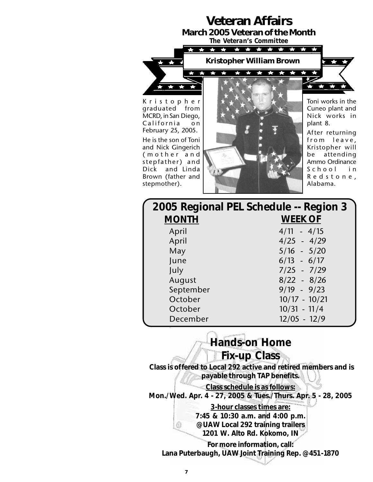### **Veteran Affairs**

**March 2005 Veteran of the Month** *The Veteran's Committee*

> г.  $\rightarrow$

 $\bullet$  $\bigstar$ 



Kristopher graduated from MCRD, in San Diego, California on February 25, 2005. He is the son of Toni and Nick Gingerich (mother and stepfather) and Dick and Linda Brown (father and stepmother).



Toni works in the Cuneo plant and Nick works in plant 8.

 $\leftarrow$ 

 $\rightarrow$ 

 $\leftarrow$ 

After returning from leave, Kristopher will be attending Ammo Ordinance School in Redstone, Alabama.

|              | 2005 Regional PEL Schedule -- Region 3 |
|--------------|----------------------------------------|
| <b>MONTH</b> | <b>WEEK OF</b>                         |
| April        | $4/11 - 4/15$                          |
| April        | $4/25 - 4/29$                          |
| May          | $5/16 - 5/20$                          |
| June         | $6/13 - 6/17$                          |
| July         | $7/25 - 7/29$                          |
| August       | $8/22 - 8/26$                          |
| September    | $9/19 - 9/23$                          |
| October      | $10/17 - 10/21$                        |
| October      | $10/31 - 11/4$                         |
| December     | $12/05 - 12/9$                         |

**Hands-on Home Fix-up Class Class is offered to Local 292 active and retired members and is payable through TAP benefits. Class schedule is as follows: Mon./Wed. Apr. 4 - 27, 2005 & Tues./Thurs. Apr. 5 - 28, 2005 3-hour classes times are: 7:45 & 10:30 a.m. and 4:00 p.m. @ UAW Local 292 training trailers 1201 W. Alto Rd. Kokomo, IN For more information, call: Lana Puterbaugh, UAW Joint Training Rep. @ 451-1870**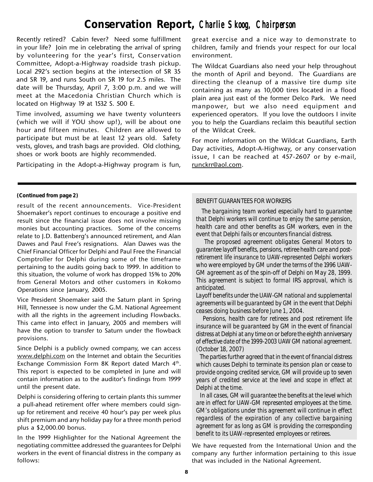### **Conservation Report,** *Charlie Skoog Charlie Skoog, Chairperson , Chairperson*

Recently retired? Cabin fever? Need some fulfillment in your life? Join me in celebrating the arrival of spring by volunteering for the year's first, Conservation Committee, Adopt-a-Highway roadside trash pickup. Local 292's section begins at the intersection of SR 35 and SR 19, and runs South on SR 19 for 2.5 miles. The date will be Thursday, April 7, 3:00 p.m. and we will meet at the Macedonia Christian Church which is located on Highway 19 at 1532 S. 500 E.

Time involved, assuming we have twenty volunteers (which we will if YOU show up!), will be about one hour and fifteen minutes. Children are allowed to participate but must be at least 12 years old. Safety vests, gloves, and trash bags are provided. Old clothing, shoes or work boots are highly recommended.

Participating in the Adopt-a-Highway program is fun,

great exercise and a nice way to demonstrate to children, family and friends your respect for our local environment.

The Wildcat Guardians also need your help throughout the month of April and beyond. The Guardians are directing the cleanup of a massive tire dump site containing as many as 10,000 tires located in a flood plain area just east of the former Delco Park. We need manpower, but we also need equipment and experienced operators. If you love the outdoors I invite you to help the Guardians reclaim this beautiful section of the Wildcat Creek.

For more information on the Wildcat Guardians, Earth Day activities, Adopt-A-Highway, or any conservation issue, I can be reached at 457-2607 or by e-mail, runckrr@aol.com.

#### **(Continued from page 2)**

result of the recent announcements. Vice-President Shoemaker's report continues to encourage a positive end result since the financial issue does not involve missing monies but accounting practices. Some of the concerns relate to J.D. Battenberg's announced retirement, and Alan Dawes and Paul Free's resignations. Alan Dawes was the Chief Financial Officer for Delphi and Paul Free the Financial Comptroller for Delphi during some of the timeframe pertaining to the audits going back to 1999. In addition to this situation, the volume of work has dropped 15% to 20% from General Motors and other customers in Kokomo Operations since January, 2005.

Vice President Shoemaker said the Saturn plant in Spring Hill, Tennessee is now under the G.M. National Agreement with all the rights in the agreement including Flowbacks. This came into effect in January, 2005 and members will have the option to transfer to Saturn under the flowback provisions.

Since Delphi is a publicly owned company, we can access www.delphi.com on the Internet and obtain the Securities Exchange Commission Form 8K Report dated March 4th. This report is expected to be completed in June and will contain information as to the auditor's findings from 1999 until the present date.

Delphi is considering offering to certain plants this summer a pull-ahead retirement offer where members could signup for retirement and receive 40 hour's pay per week plus shift premium and any holiday pay for a three month period plus a \$2,000.00 bonus.

In the 1999 Highlighter for the National Agreement the negotiating committee addressed the guarantees for Delphi workers in the event of financial distress in the company as follows:

#### *BENEFIT GUARANTEES FOR WORKERS*

 *The bargaining team worked especially hard to guarantee that Delphi workers will continue to enjoy the same pension, health care and other benefits as GM workers, even in the event that Delphi fails or encounters financial distress.*

 *The proposed agreement obligates General Motors to guarantee layoff benefits, pensions, retiree health care and postretirement life insurance to UAW-represented Delphi workers who were employed by GM under the terms of the 1996 UAW-GM agreement as of the spin-off of Delphi on May 28, 1999. This agreement is subject to formal IRS approval, which is anticipated.*

*Layoff benefits under the UAW-GM national and supplemental agreements will be guaranteed by GM in the event that Delphi ceases doing business before June 1, 2004.*

 *Pensions, health care for retirees and post retirement life insurance will be guaranteed by GM in the event of financial distress at Delphi at any time on or before the eighth anniversary of effective date of the 1999-2003 UAW GM national agreement. (October 18, 2007)*

 *The parties further agreed that in the event of financial distress which causes Delphi to terminate its pension plan or cease to provide ongoing credited service, GM will provide up to seven years of credited service at the level and scope in effect at Delphi at the time.*

 *In all cases, GM will guarantee the benefits at the level which are in effect for UAW-GM represented employees at the time. GM's obligations under this agreement will continue in effect regardless of the expiration of any collective bargaining agreement for as long as GM is providing the corresponding benefit to its UAW-represented employees or retirees.*

We have requested from the International Union and the company any further information pertaining to this issue that was included in the National Agreement.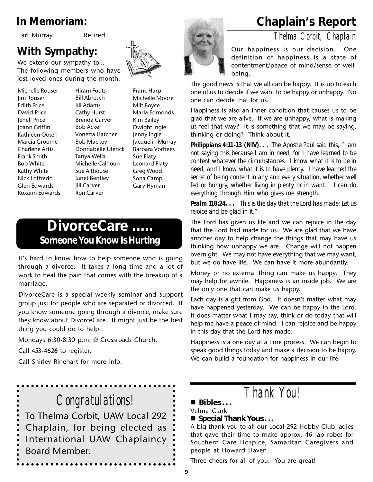Earl Murray Retired

### **With Sympathy:**

We extend our sympathy to… The following members who have lost loved ones during the month:

Michelle Rouser Jim Rouser Edith Price David Price Jenell Price Joann Griffin Kathleen Ooten Marcia Groome Charlene Artis Frank Smith Bob White Kathy White Nick Loffredo Glen Edwards Roxann Edwards

Hiram Fouts Bill Abresch Jill Adams Cathy Hurst Brenda Carver Bob Acker Vonetta Hatcher Bob Mackey Donnabelle Ulerick Tanya Wells Michelle Calhoun Sue Althouse Janet Bentley Jill Carver Ron Carver



Frank Harp Michelle Moore Milt Boyce Marla Edmonds Kim Bailey Dwight Ingle Jenny Ingle Jacquelin Murray Barbara Vorhees Sue Flaty Leonard Flaty Greg Wood Sona Camp Gary Hyman

### **DivorceCare ..... Someone You Know Is Hurting**

It's hard to know how to help someone who is going through a divorce. It takes a long time and a lot of work to heal the pain that comes with the breakup of a marriage.

DivorceCare is a special weekly seminar and support group just for people who are separated or divorced. If you know someone going through a divorce, make sure they know about DivorceCare. It might just be the best thing you could do to help.

Mondays 6:30-8:30 p.m. @ Crossroads Church.

Call 453-4626 to register.

Call Shirley Rinehart for more info.

*Congratulations!* To Thelma Corbit, UAW Local 292 Chaplain, for being elected as International UAW Chaplaincy Board Member.

### **In Memoriam: Chaplain's Report**

*Thelma Corbit, Chaplain*



Our happiness is our decision. One definition of happiness is a state of contentment/peace of mind/sense of wellbeing.

The good news is that we all can be happy. It is up to each one of us to decide if we want to be happy or unhappy. No one can decide that for us.

Happiness is also an inner condition that causes us to be glad that we are alive. If we are unhappy, what is making us feel that way? It is something that we may be saying, thinking or doing? Think about it.

*Philippians 4:11-13 (NIV). . . The Apostle Paul said this, "I am not saying this because I am in need, for I have learned to be content whatever the circumstances. I know what it is to be in need, and I know what it is to have plenty. I have learned the secret of being content in any and every situation, whether well fed or hungry, whether living in plenty or in want." I can do everything through Him who gives me strength.*

*Psalm 118:24. . . "This is the day that the Lord has made; Let us rejoice and be glad in it."*

The Lord has given us life and we can rejoice in the day that the Lord had made for us. We are glad that we have another day to help change the things that may have us thinking how unhappy we are. Change will not happen overnight. We may not have everything that we may want, but we do have life. We can have it more abundantly.

Money or no external thing can make us happy. They may help for awhile. Happiness is an inside job. We are the only one that can make us happy.

Each day is a gift from God. It doesn't matter what may have happened yesterday. We can be happy in the Lord. It does matter what I may say, think or do today that will help me have a peace of mind. I can rejoice and be happy in this day that the Lord has made.

Happiness is a one day at a time process. We can begin to speak good things today and make a decision to be happy. We can build a foundation for happiness in our life.

*Thank You!*

#### **Bibles . . .**

#### Velma Clark

#### ■ Special Thank Yous . . .

A big thank you to all our Local 292 Hobby Club ladies that gave their time to make approx. 46 lap robes for Southern Care Hospice, Samaritan Caregivers and people at Howard Haven.

Three cheers for all of you. You are great!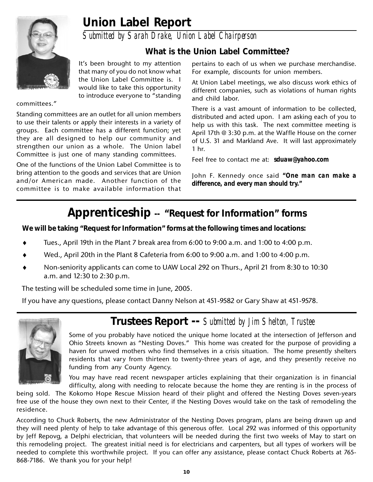### **Union Label Report**

*Submitted by Sarah Drake, Union Label Chairperson*

### **What is the Union Label Committee?**

It's been brought to my attention that many of you do not know what the Union Label Committee is. I would like to take this opportunity to introduce everyone to "standing

#### committees."

Standing committees are an outlet for all union members to use their talents or apply their interests in a variety of groups. Each committee has a different function; yet they are all designed to help our community and strengthen our union as a whole. The Union label Committee is just one of many standing committees.

One of the functions of the Union Label Committee is to bring attention to the goods and services that are Union and/or American made. Another function of the committee is to make available information that pertains to each of us when we purchase merchandise. For example, discounts for union members.

At Union Label meetings, we also discuss work ethics of different companies, such as violations of human rights and child labor.

There is a vast amount of information to be collected, distributed and acted upon. I am asking each of you to help us with this task. The next committee meeting is April 17th @ 3:30 p.m. at the Waffle House on the corner of U.S. 31 and Markland Ave. It will last approximately 1 hr.

Feel free to contact me at: *sduaw@yahoo.com*

John F. Kennedy once said *"One man can make a difference, and every man should try."*

### **Apprenticeship -- "Request for Information" forms**

**We will be taking "Request for Information" forms at the following times and locations:**

- Tues., April 19th in the Plant 7 break area from 6:00 to 9:00 a.m. and 1:00 to 4:00 p.m.
- Wed., April 20th in the Plant 8 Cafeteria from 6:00 to 9:00 a.m. and 1:00 to 4:00 p.m.
- Non-seniority applicants can come to UAW Local 292 on Thurs., April 21 from 8:30 to 10:30 a.m. and 12:30 to 2:30 p.m.

The testing will be scheduled some time in June, 2005.

If you have any questions, please contact Danny Nelson at 451-9582 or Gary Shaw at 451-9578.



### **Trustees Report --** *Submitted by Jim Shelton, Trustee*

Some of you probably have noticed the unique home located at the intersection of Jefferson and Ohio Streets known as "Nesting Doves." This home was created for the purpose of providing a haven for unwed mothers who find themselves in a crisis situation. The home presently shelters residents that vary from thirteen to twenty-three years of age, and they presently receive no funding from any County Agency.

You may have read recent newspaper articles explaining that their organization is in financial difficulty, along with needing to relocate because the home they are renting is in the process of

being sold. The Kokomo Hope Rescue Mission heard of their plight and offered the Nesting Doves seven-years free use of the house they own next to their Center, if the Nesting Doves would take on the task of remodeling the residence.

According to Chuck Roberts, the new Administrator of the Nesting Doves program, plans are being drawn up and they will need plenty of help to take advantage of this generous offer. Local 292 was informed of this opportunity by Jeff Repovg, a Delphi electrician, that volunteers will be needed during the first two weeks of May to start on this remodeling project. The greatest initial need is for electricians and carpenters, but all types of workers will be needed to complete this worthwhile project. If you can offer any assistance, please contact Chuck Roberts at 765- 868-7186. We thank you for your help!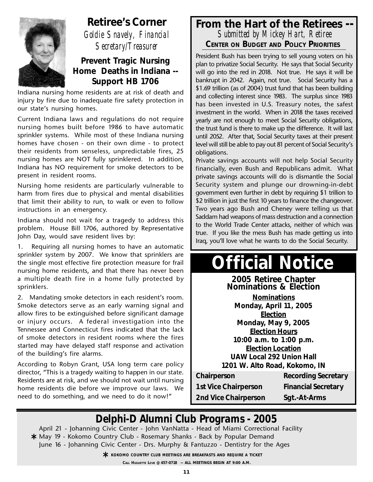

**Retiree's Corner** *Goldie Snavely, Financial Secretary/Treasurer*

#### **Prevent Tragic Nursing Home Deaths in Indiana -- Support HB 1706**

Indiana nursing home residents are at risk of death and injury by fire due to inadequate fire safety protection in our state's nursing homes.

Current Indiana laws and regulations do not require nursing homes built before 1986 to have automatic sprinkler systems. While most of these Indiana nursing homes have chosen - on their own dime - to protect their residents from senseless, unpredictable fires, 25 nursing homes are NOT fully sprinklered. In addition, Indiana has NO requirement for smoke detectors to be present in resident rooms.

Nursing home residents are particularly vulnerable to harm from fires due to physical and mental disabilities that limit their ability to run, to walk or even to follow instructions in an emergency.

Indiana should not wait for a tragedy to address this problem. House Bill 1706, authored by Representative John Day, would save resident lives by:

1. Requiring all nursing homes to have an automatic sprinkler system by 2007. We know that sprinklers are the single most effective fire protection measure for frail nursing home residents, and that there has never been a multiple death fire in a home fully protected by sprinklers.

2. Mandating smoke detectors in each resident's room. Smoke detectors serve as an early warning signal and allow fires to be extinguished before significant damage or injury occurs. A federal investigation into the Tennessee and Connecticut fires indicated that the lack of smoke detectors in resident rooms where the fires started may have delayed staff response and activation of the building's fire alarms.

According to Robyn Grant, USA long term care policy director, "This is a tragedy waiting to happen in our state. Residents are at risk, and we should not wait until nursing home residents die before we improve our laws. We need to do something, and we need to do it now!"

#### **From the Hart of the Retirees --** *Submitted by Mickey Hart, Retiree* **CENTER ON BUDGET AND POLICY PRIORITIES**

President Bush has been trying to sell young voters on his plan to privatize Social Security. He says that Social Security will go into the red in 2018. Not true. He says it will be bankrupt in 2042. Again, not true. Social Security has a \$1.69 trillion (as of 2004) trust fund that has been building and collecting interest since 1983. The surplus since 1983 has been invested in U.S. Treasury notes, the safest investment in the world. When in 2018 the taxes received yearly are not enough to meet Social Security obligations, the trust fund is there to make up the difference. It will last until 2052. After that, Social Security taxes at their present level will still be able to pay out 81 percent of Social Security's obligations.

Private savings accounts will not help Social Security financially, even Bush and Republicans admit. What private savings accounts will do is dismantle the Social Security system and plunge our drowning-in-debt government even further in debt by requiring \$1 trillion to \$2 trillion in just the first 10 years to finance the changeover. Two years ago Bush and Cheney were telling us that Saddam had weapons of mass destruction and a connection to the World Trade Center attacks, neither of which was true. If you like the mess Bush has made getting us into Iraq, you'll love what he wants to do the Social Security.

# **Official Notice**

**2005 Retiree Chapter Nominations & Election Nominations Monday, April 11, 2005 Election Monday, May 9, 2005 Election Hours 10:00 a.m. to 1:00 p.m. Election Location UAW Local 292 Union Hall 1201 W. Alto Road, Kokomo, IN**

**1st Vice Chairperson Financial Secretary 2nd Vice Chairperson Sgt.-At-Arms**

**Chairperson Recording Secretary** 

### *Delphi-D Alumni Club Programs - 2005*

April 21 - Johanning Civic Center - John VanNatta - Head of Miami Correctional Facility May 19 - Kokomo Country Club - Rosemary Shanks - Back by Popular Demand **\*** June 16 - Johanning Civic Center - Drs. Murphy & Fantuzzo - Dentistry for the Ages

**KOKOMO COUNTRY CLUB MEETINGS ARE BREAKFASTS AND REQUIRE A TICKET<br>CALL HUGUETTE LOVE @ 457-0718 -- ALL MEETINGS BEGIN AT 9:00 A.M.** 

**CALL HUGUETTE LOVE @ 457-0718 -- ALL MEETINGS BEGIN AT 9:00 A.M.**